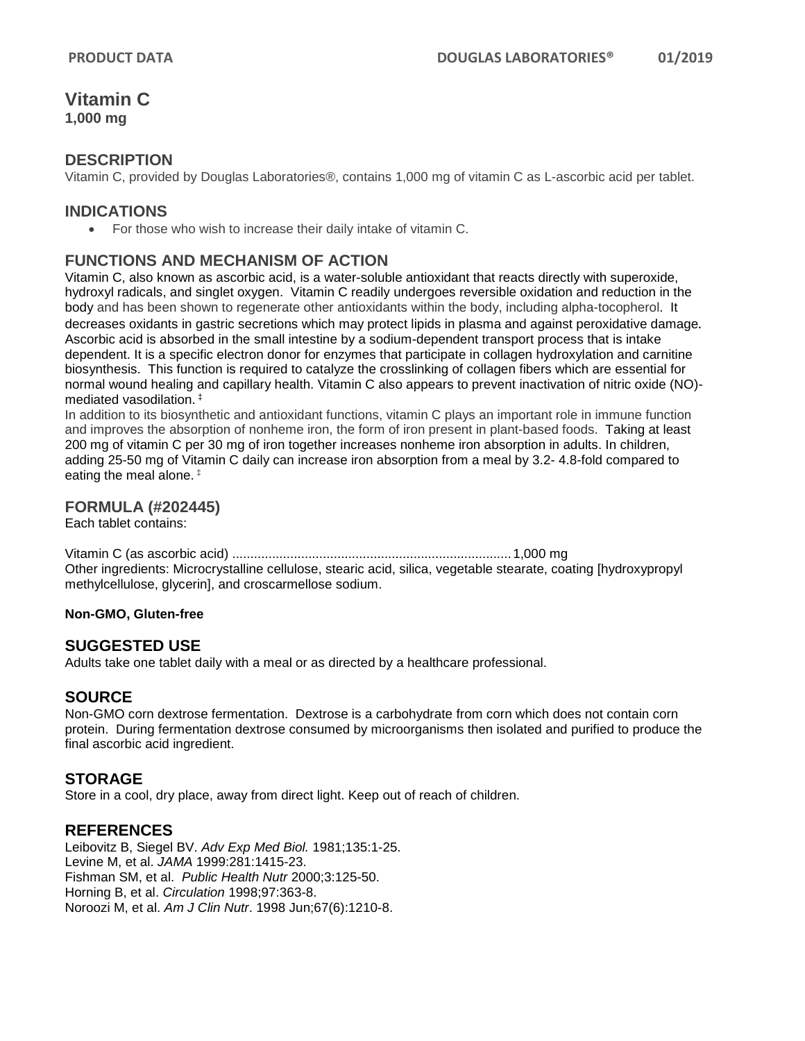# **Vitamin C**

**1,000 mg** 

### **DESCRIPTION**

Vitamin C, provided by Douglas Laboratories®, contains 1,000 mg of vitamin C as L-ascorbic acid per tablet.

## **INDICATIONS**

• For those who wish to increase their daily intake of vitamin C.

## **FUNCTIONS AND MECHANISM OF ACTION**

Vitamin C, also known as ascorbic acid, is a water-soluble antioxidant that reacts directly with superoxide, hydroxyl radicals, and singlet oxygen. Vitamin C readily undergoes reversible oxidation and reduction in the body and has been shown to regenerate other antioxidants within the body, including alpha-tocopherol. It decreases oxidants in gastric secretions which may protect lipids in plasma and against peroxidative damage. Ascorbic acid is absorbed in the small intestine by a sodium-dependent transport process that is intake dependent. It is a specific electron donor for enzymes that participate in collagen hydroxylation and carnitine biosynthesis. This function is required to catalyze the crosslinking of collagen fibers which are essential for normal wound healing and capillary health. Vitamin C also appears to prevent inactivation of nitric oxide (NO) mediated vasodilation. ‡

In addition to its biosynthetic and antioxidant functions, vitamin C plays an important role in immune function and improves the absorption of nonheme iron, the form of iron present in plant-based foods. Taking at least 200 mg of vitamin C per 30 mg of iron together increases nonheme iron absorption in adults. In children, adding 25-50 mg of Vitamin C daily can increase iron absorption from a meal by 3.2- 4.8-fold compared to eating the meal alone. ‡

#### **FORMULA (#202445)**

Each tablet contains:

Vitamin C (as ascorbic acid) .............................................................................1,000 mg Other ingredients: Microcrystalline cellulose, stearic acid, silica, vegetable stearate, coating [hydroxypropyl methylcellulose, glycerin], and croscarmellose sodium.

#### **Non-GMO, Gluten-free**

#### **SUGGESTED USE**

Adults take one tablet daily with a meal or as directed by a healthcare professional.

#### **SOURCE**

Non-GMO corn dextrose fermentation. Dextrose is a carbohydrate from corn which does not contain corn protein. During fermentation dextrose consumed by microorganisms then isolated and purified to produce the final ascorbic acid ingredient.

#### **STORAGE**

Store in a cool, dry place, away from direct light. Keep out of reach of children.

#### **REFERENCES**

Leibovitz B, Siegel BV. *Adv Exp Med Biol.* 1981;135:1-25. Levine M, et al. *JAMA* 1999:281:1415-23. Fishman SM, et al. *Public Health Nutr* 2000;3:125-50. Horning B, et al. *Circulation* 1998;97:363-8. Noroozi M, et al. *Am J Clin Nutr*. 1998 Jun;67(6):1210-8.